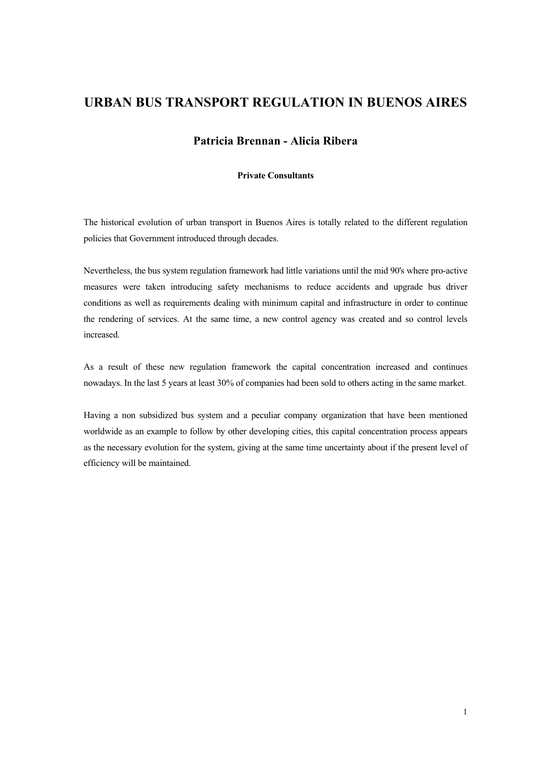# URBAN BUS TRANSPORT REGULATION IN BUENOS AIRES

## Patricia Brennan - Alicia Ribera

### **Private Consultants**

The historical evolution of urban transport in Buenos Aires is totally related to the different regulation policies that Government introduced through decades.

Nevertheless, the bus system regulation framework had little variations until the mid 90's where pro-active measures were taken introducing safety mechanisms to reduce accidents and upgrade bus driver conditions as well as requirements dealing with minimum capital and infrastructure in order to continue the rendering of services. At the same time, a new control agency was created and so control levels increased.

As a result of these new regulation framework the capital concentration increased and continues nowadays. In the last 5 years at least 30% of companies had been sold to others acting in the same market.

Having a non subsidized bus system and a peculiar company organization that have been mentioned worldwide as an example to follow by other developing cities, this capital concentration process appears as the necessary evolution for the system, giving at the same time uncertainty about if the present level of efficiency will be maintained.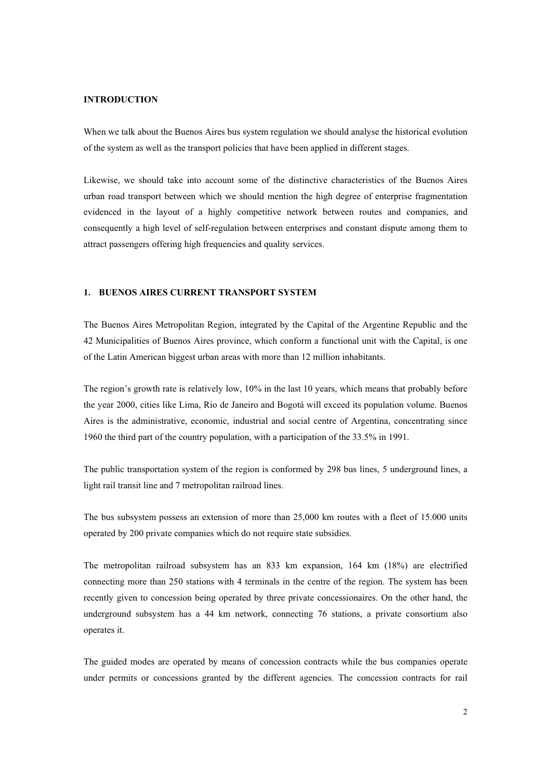#### INTRODUCTION

When we talk about the Buenos Aires bus system regulation we should analyse the historical evolution of the system as well as the transport policies that have been applied in different stages.

Likewise, we should take into account some of the distinctive characteristics of the Buenos Aires urban road transport between which we should mention the high degree of enterprise fragmentation evidenced in the layout of a highly competitive network between routes and companies, and consequently a high level of self-regulation between enterprises and constant dispute among them to attract passengers offering high frequencies and quality services.

## 1. BUENOS AIRES CURRENT TRANSPORT SYSTEM

The Buenos Aires Metropolitan Region, integrated by the Capital of the Argentine Republic and the 42 Municipalities of Buenos Aires province, which conform a functional unit with the Capital, is one of the Latin American biggest urban areas with more than 12 million inhabitants.

The region's growth rate is relatively low, 10% in the last 10 years, which means that probably before the year 2000, cities like Lima, Rio de Janeiro and Bogotáwill exceed its population volume. Buenos Aires is the administrative, economic, industrial and social centre of Argentina, concentrating since 1960 the third part of the country population, with a participation of the 33.5% in 1991.

The public transportation system of the region is conformed by 298 bus lines, 5 underground lines, a light rail transit line and 7 metropolitan railroad lines.

The bus subsystem possess an extension of more than 25,000 km routes with a fleet of 15.000 units operated by 200 private companies which do not require state subsidies.

The metropolitan railroad subsystem has an  $833$  km expansion, 164 km (18%) are electrified connecting more than 250 stations with 4 terminals in the centre of the region. The system has been recently given to concession being operated by three private concessionaires. On the other hand, the underground subsystem has a 44 km network, connecting 76 stations, a private consortium also operates it.

The guided modes are operated by means of concession contracts while the bus companies operate under permits or concessions granted by the different agencies. The concession contracts for rail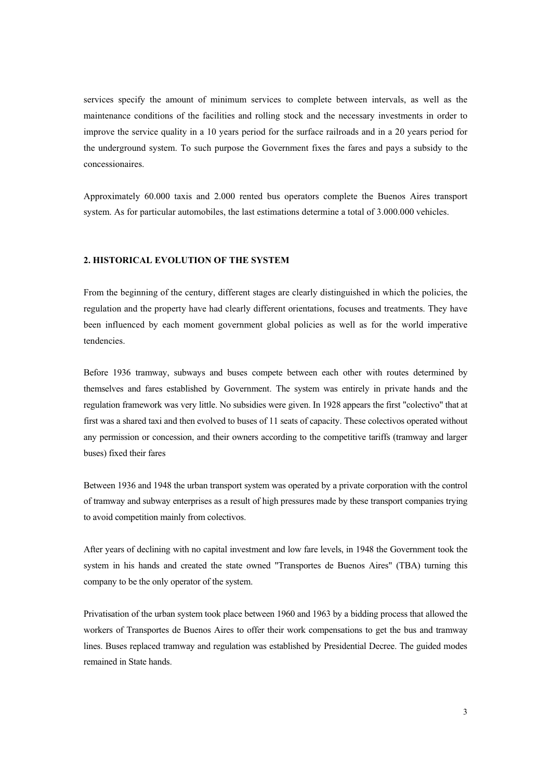services specify the amount of minimum services to complete between intervals, as well as the maintenance conditions of the facilities and rolling stock and the necessary investments in order to improve the service quality in a 10 years period for the surface railroads and in a 20 years period for the underground system. To such purpose the Government fixes the fares and pays a subsidy to the concessionaires.

Approximately 60.000 taxis and 2.000 rented bus operators complete the Buenos Aires transport system. As for particular automobiles, the last estimations determine a total of 3.000.000 vehicles.

#### 2. HISTORICAL EVOLUTION OF THE SYSTEM

From the beginning of the century, different stages are clearly distinguished in which the policies, the regulation and the property have had clearly different orientations, focuses and treatments. They have been influenced by each moment government global policies as well as for the world imperative tendencies.

Before 1936 tramway, subways and buses compete between each other with routes determined by themselves and fares established by Government. The system was entirely in private hands and the regulation framework was very little. No subsidies were given. In 1928 appears the first "colectivo"that at first was a shared taxi and then evolved to buses of 11 seats of capacity. These colectivos operated without any permission or concession, and their owners according to the competitive tariffs (tramway and larger buses) fixed their fares

Between 1936 and 1948 the urban transport system was operated by a private corporation with the control of tramway and subway enterprises as a result of high pressures made by these transport companies trying to avoid competition mainly from colectivos.

After years of declining with no capital investment and low fare levels, in 1948 the Government took the system in his hands and created the state owned "Transportes de Buenos Aires"(TBA) turning this company to be the only operator of the system.

Privatisation of the urban system took place between 1960 and 1963 by a bidding process that allowed the workers of Transportes de Buenos Aires to offer their work compensations to get the bus and tramway lines. Buses replaced tramway and regulation was established by Presidential Decree. The guided modes remained in State hands.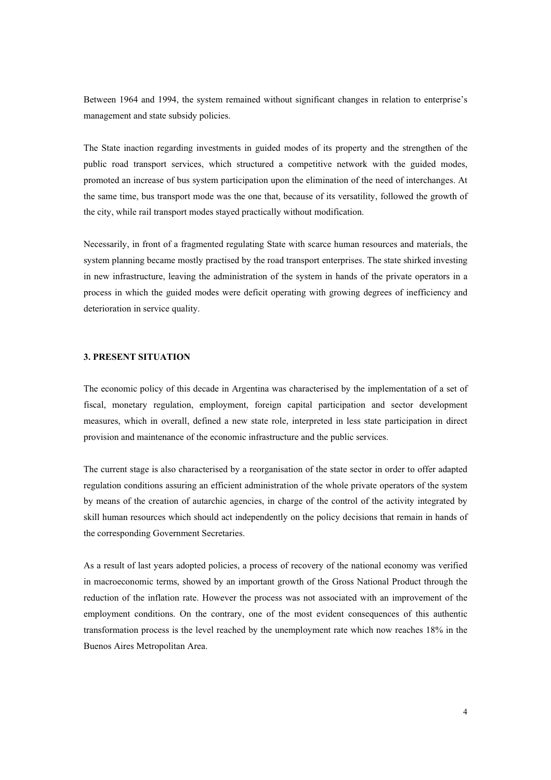Between 1964 and 1994, the system remained without significant changes in relation to enterprise's management and state subsidy policies.

The State inaction regarding investments in guided modes of its property and the strengthen of the public road transport services, which structured a competitive network with the guided modes, promoted an increase of bus system participation upon the elimination of the need of interchanges. At the same time, bus transport mode was the one that, because of its versatility, followed the growth of the city, while rail transport modes stayed practically without modification.

Necessarily, in front of a fragmented regulating State with scarce human resources and materials, the system planning became mostly practised by the road transport enterprises. The state shirked investing in new infrastructure, leaving the administration of the system in hands of the private operators in a process in which the guided modes were deficit operating with growing degrees of inefficiency and deterioration in service quality.

#### 3. PRESENT SITUATION

The economic policy of this decade in Argentina was characterised by the implementation of a set of fiscal, monetary regulation, employment, foreign capital participation and sector development measures, which in overall, defined a new state role, interpreted in less state participation in direct provision and maintenance of the economic infrastructure and the public services.

The current stage is also characterised by a reorganisation of the state sector in order to offer adapted regulation conditions assuring an efficient administration of the whole private operators of the system by means of the creation of autarchic agencies, in charge of the control of the activity integrated by skill human resources which should act independently on the policy decisions that remain in hands of the corresponding Government Secretaries.

As a result of last years adopted policies, a process of recovery of the national economy was verified in macroeconomic terms, showed by an important growth of the Gross National Product through the reduction of the inflation rate. However the process was not associated with an improvement of the employment conditions. On the contrary, one of the most evident consequences of this authentic transformation process is the level reached by the unemployment rate which now reaches 18% in the Buenos Aires Metropolitan Area.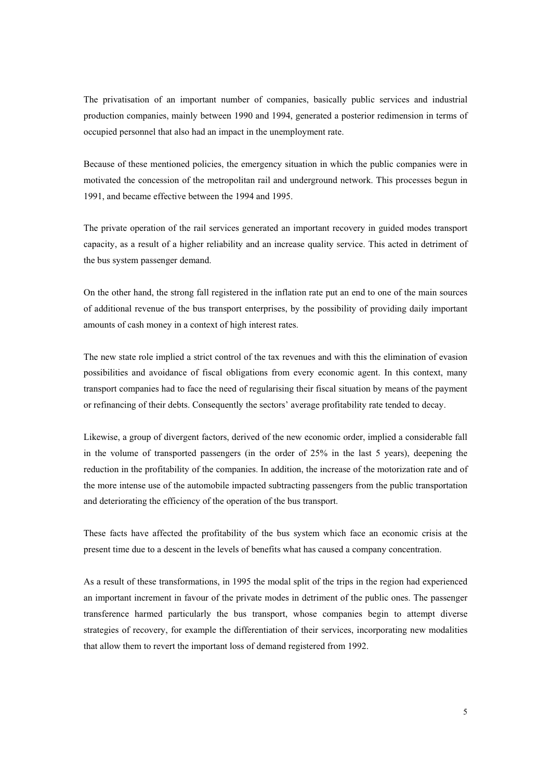The privatisation of an important number of companies, basically public services and industrial production companies, mainly between 1990 and 1994, generated a posterior redimension in terms of occupied personnel that also had an impact in the unemployment rate.

Because of these mentioned policies, the emergency situation in which the public companies were in motivated the concession of the metropolitan rail and underground network. This processes begun in 1991, and became effective between the 1994 and 1995.

The private operation of the rail services generated an important recovery in guided modes transport capacity, as a result of a higher reliability and an increase quality service. This acted in detriment of the bus system passenger demand.

On the other hand, the strong fall registered in the inflation rate put an end to one of the main sources of additional revenue of the bus transport enterprises, by the possibility of providing daily important amounts of cash money in a context of high interest rates.

The new state role implied a strict control of the tax revenues and with this the elimination of evasion possibilities and avoidance of fiscal obligations from every economic agent. In this context, many transport companies had to face the need of regularising their fiscal situation by means of the payment or refinancing of their debts. Consequently the sectors' average profitability rate tended to decay.

Likewise, a group of divergent factors, derived of the new economic order, implied a considerable fall in the volume of transported passengers (in the order of 25% in the last 5 years), deepening the reduction in the profitability of the companies. In addition, the increase of the motorization rate and of the more intense use of the automobile impacted subtracting passengers from the public transportation and deteriorating the efficiency of the operation of the bus transport.

These facts have affected the profitability of the bus system which face an economic crisis at the present time due to a descent in the levels of benefits what has caused a company concentration.

As a result of these transformations, in 1995 the modal split of the trips in the region had experienced an important increment in favour of the private modes in detriment of the public ones. The passenger transference harmed particularly the bus transport, whose companies begin to attempt diverse strategies of recovery, for example the differentiation of their services, incorporating new modalities that allow them to revert the important loss of demand registered from 1992.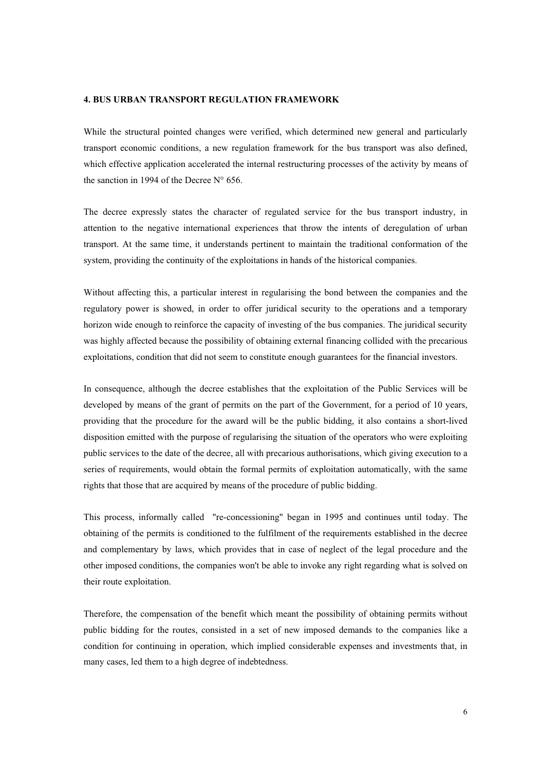#### 4. BUS URBAN TRANSPORT REGULATION FRAMEWORK

While the structural pointed changes were verified, which determined new general and particularly transport economic conditions, a new regulation framework for the bus transport was also defined, which effective application accelerated the internal restructuring processes of the activity by means of the sanction in 1994 of the Decree  $N^{\circ}$  656.

The decree expressly states the character of regulated service for the bus transport industry, in attention to the negative international experiences that throw the intents of deregulation of urban transport. At the same time, it understands pertinent to maintain the traditional conformation of the system, providing the continuity of the exploitations in hands of the historical companies.

Without affecting this, a particular interest in regularising the bond between the companies and the regulatory power is showed, in order to offer juridical security to the operations and a temporary horizon wide enough to reinforce the capacity of investing of the bus companies. The juridical security was highly affected because the possibility of obtaining external financing collided with the precarious exploitations, condition that did not seem to constitute enough guarantees for the financial investors.

In consequence, although the decree establishes that the exploitation of the Public Services will be developed by means of the grant of permits on the part of the Government, for a period of 10 years, providing that the procedure for the award will be the public bidding, it also contains a short-lived disposition emitted with the purpose of regularising the situation of the operators who were exploiting public services to the date of the decree, all with precarious authorisations, which giving execution to a series of requirements, would obtain the formal permits of exploitation automatically, with the same rights that those that are acquired by means of the procedure of public bidding.

This process, informally called "re-concessioning" began in 1995 and continues until today. The obtaining of the permits is conditioned to the fulfilment of the requirements established in the decree and complementary by laws, which provides that in case of neglect of the legal procedure and the other imposed conditions, the companies won't be able to invoke any right regarding what is solved on their route exploitation.

Therefore, the compensation of the benefit which meant the possibility of obtaining permits without public bidding for the routes, consisted in a set of new imposed demands to the companies like a condition for continuing in operation, which implied considerable expenses and investments that, in many cases, led them to a high degree of indebtedness.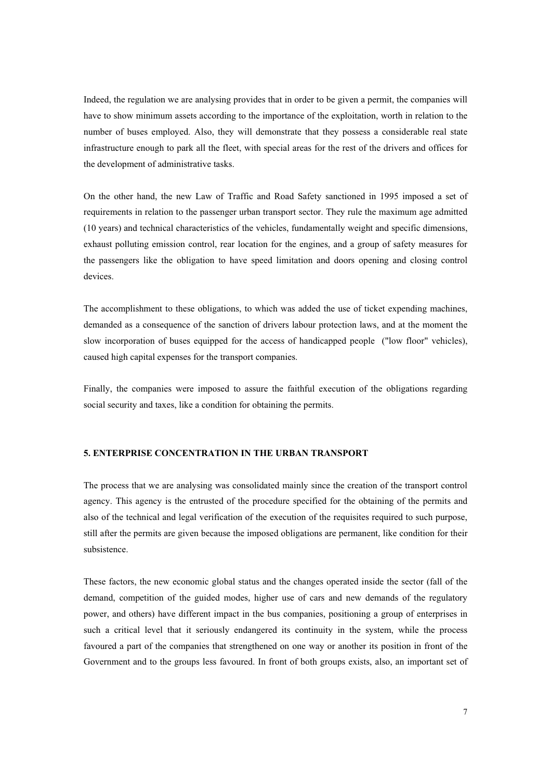Indeed, the regulation we are analysing provides that in order to be given a permit, the companies will have to show minimum assets according to the importance of the exploitation, worth in relation to the number of buses employed. Also, they will demonstrate that they possess a considerable real state infrastructure enough to park all the fleet, with special areas for the rest of the drivers and offices for the development of administrative tasks.

On the other hand, the new Law of Traffic and Road Safety sanctioned in 1995 imposed a set of requirements in relation to the passenger urban transport sector. They rule the maximum age admitted (10 years) and technical characteristics of the vehicles, fundamentally weight and specific dimensions, exhaust polluting emission control, rear location for the engines, and a group of safety measures for the passengers like the obligation to have speed limitation and doors opening and closing control devices.

The accomplishment to these obligations, to which was added the use of ticket expending machines, demanded as a consequence of the sanction of drivers labour protection laws, and at the moment the slow incorporation of buses equipped for the access of handicapped people ("low floor" vehicles), caused high capital expenses for the transport companies.

Finally, the companies were imposed to assure the faithful execution of the obligations regarding social security and taxes, like a condition for obtaining the permits.

### 5. ENTERPRISE CONCENTRATION IN THE URBAN TRANSPORT

The process that we are analysing was consolidated mainly since the creation of the transport control agency. This agency is the entrusted of the procedure specified for the obtaining of the permits and also of the technical and legal verification of the execution of the requisites required to such purpose, still after the permits are given because the imposed obligations are permanent, like condition for their subsistence.

These factors, the new economic global status and the changes operated inside the sector (fall of the demand, competition of the guided modes, higher use of cars and new demands of the regulatory power, and others) have different impact in the bus companies, positioning a group of enterprises in such a critical level that it seriously endangered its continuity in the system, while the process favoured a part of the companies that strengthened on one way or another its position in front of the Government and to the groups less favoured. In front of both groups exists, also, an important set of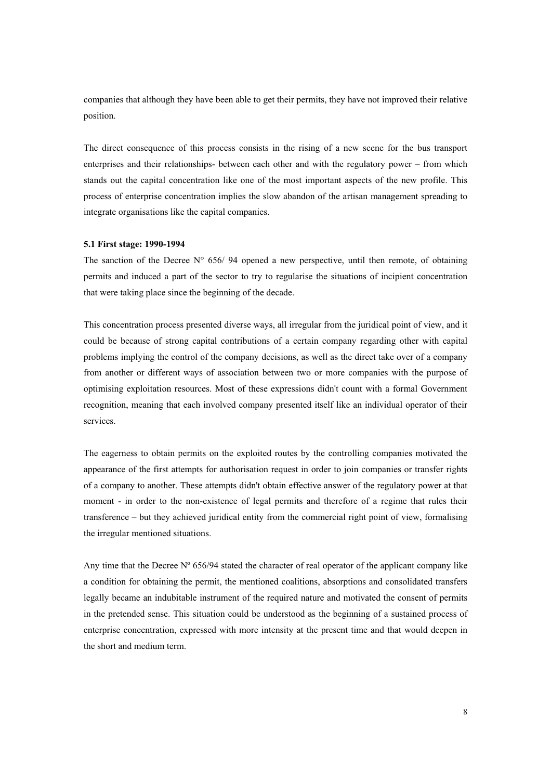companies that although they have been able to get their permits, they have not improved their relative position.

The direct consequence of this process consists in the rising of a new scene for the bus transport enterprises and their relationships- between each other and with the regulatory power – from which stands out the capital concentration like one of the most important aspects of the new profile. This process of enterprise concentration implies the slow abandon of the artisan management spreading to integrate organisations like the capital companies.

#### 5.1 First stage: 1990-1994

The sanction of the Decree  $N^{\circ}$  656/94 opened a new perspective, until then remote, of obtaining permits and induced a part of the sector to try to regularise the situations of incipient concentration that were taking place since the beginning of the decade.

This concentration process presented diverse ways, all irregular from the juridical point of view, and it could be because of strong capital contributions of a certain company regarding other with capital problems implying the control of the company decisions, as well as the direct take over of a company from another or different ways of association between two or more companies with the purpose of optimising exploitation resources. Most of these expressions didn't count with a formal Government recognition, meaning that each involved company presented itself like an individual operator of their services.

The eagerness to obtain permits on the exploited routes by the controlling companies motivated the appearance of the first attempts for authorisation request in order to join companies or transfer rights of a company to another. These attempts didn't obtain effective answer of the regulatory power at that moment - in order to the non-existence of legal permits and therefore of a regime that rules their transference –but they achieved juridical entity from the commercial right point of view, formalising the irregular mentioned situations.

Any time that the Decree  $N^{\circ}$  656/94 stated the character of real operator of the applicant company like a condition for obtaining the permit, the mentioned coalitions, absorptions and consolidated transfers legally became an indubitable instrument of the required nature and motivated the consent of permits in the pretended sense. This situation could be understood as the beginning of a sustained process of enterprise concentration, expressed with more intensity at the present time and that would deepen in the short and medium term.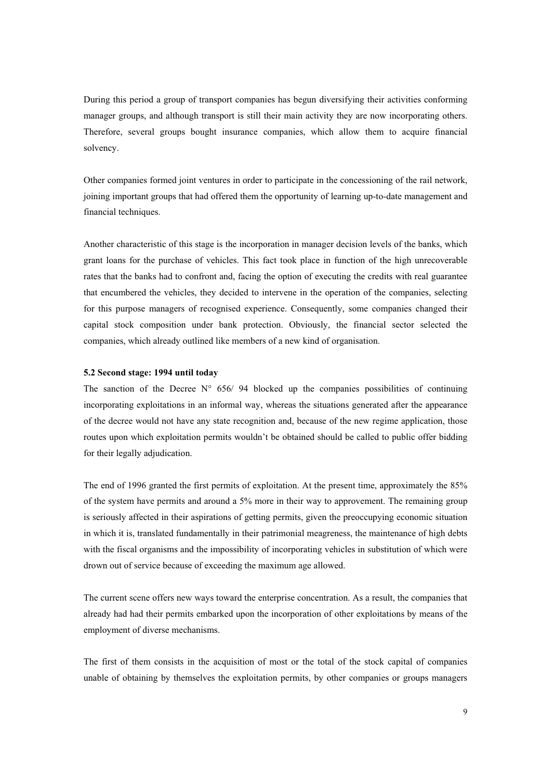During this period a group of transport companies has begun diversifying their activities conforming manager groups, and although transport is still their main activity they are now incorporating others. Therefore, several groups bought insurance companies, which allow them to acquire financial solvency.

Other companies formed joint ventures in order to participate in the concessioning of the rail network, joining important groups that had offered them the opportunity of learning up-to-date management and financial techniques.

Another characteristic of this stage is the incorporation in manager decision levels of the banks, which grant loans for the purchase of vehicles. This fact took place in function of the high unrecoverable rates that the banks had to confront and, facing the option of executing the credits with real guarantee that encumbered the vehicles, they decided to intervene in the operation of the companies, selecting for this purpose managers of recognised experience. Consequently, some companies changed their capital stock composition under bank protection. Obviously, the financial sector selected the companies, which already outlined like members of a new kind of organisation.

#### 5.2 Second stage: 1994 until today

The sanction of the Decree  $N^{\circ}$  656/ 94 blocked up the companies possibilities of continuing incorporating exploitations in an informal way, whereas the situations generated after the appearance of the decree would not have any state recognition and, because of the new regime application, those routes upon which exploitation permits wouldn't be obtained should be called to public offer bidding for their legally adjudication.

The end of 1996 granted the first permits of exploitation. At the present time, approximately the 85% of the system have permits and around a 5% more in their way to approvement. The remaining group is seriously affected in their aspirations of getting permits, given the preoccupying economic situation in which it is, translated fundamentally in their patrimonial meagreness, the maintenance of high debts with the fiscal organisms and the impossibility of incorporating vehicles in substitution of which were drown out of service because of exceeding the maximum age allowed.

The current scene offers new ways toward the enterprise concentration. As a result, the companies that already had had their permits embarked upon the incorporation of other exploitations by means of the employment of diverse mechanisms.

The first of them consists in the acquisition of most or the total of the stock capital of companies unable of obtaining by themselves the exploitation permits, by other companies or groups managers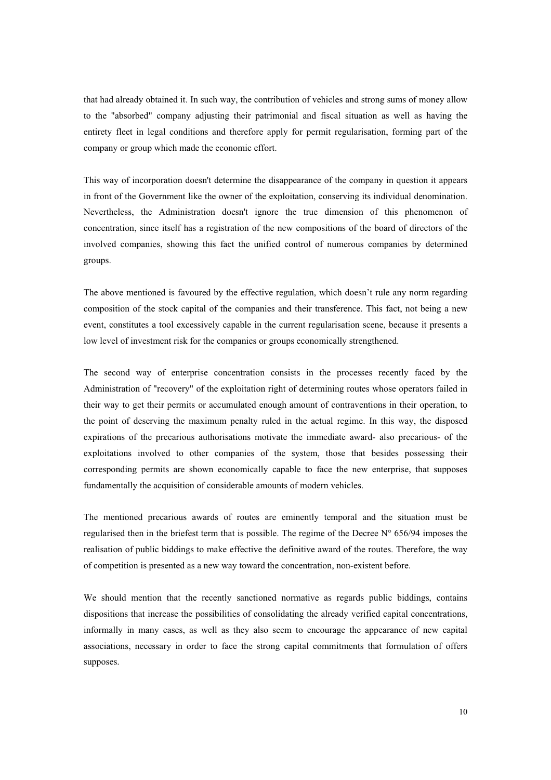that had already obtained it. In such way, the contribution of vehicles and strong sums of money allow to the "absorbed" company adjusting their patrimonial and fiscal situation as well as having the entirety fleet in legal conditions and therefore apply for permit regularisation, forming part of the company or group which made the economic effort.

This way of incorporation doesn't determine the disappearance of the company in question it appears in front of the Government like the owner of the exploitation, conserving its individual denomination. Nevertheless, the Administration doesn't ignore the true dimension of this phenomenon of concentration, since itself has a registration of the new compositions of the board of directors of the involved companies, showing this fact the unified control of numerous companies by determined groups.

The above mentioned is favoured by the effective regulation, which doesn't rule any norm regarding composition of the stock capital of the companies and their transference. This fact, not being a new event, constitutes a tool excessively capable in the current regularisation scene, because it presents a low level of investment risk for the companies or groups economically strengthened.

The second way of enterprise concentration consists in the processes recently faced by the Administration of "recovery" of the exploitation right of determining routes whose operators failed in their way to get their permits or accumulated enough amount of contraventions in their operation, to the point of deserving the maximum penalty ruled in the actual regime. In this way, the disposed expirations of the precarious authorisations motivate the immediate award- also precarious- of the exploitations involved to other companies of the system, those that besides possessing their corresponding permits are shown economically capable to face the new enterprise, that supposes fundamentally the acquisition of considerable amounts of modern vehicles.

The mentioned precarious awards of routes are eminently temporal and the situation must be regularised then in the briefest term that is possible. The regime of the Decree  $N^{\circ}$  656/94 imposes the realisation of public biddings to make effective the definitive award of the routes. Therefore, the way of competition is presented as a new way toward the concentration, non-existent before.

We should mention that the recently sanctioned normative as regards public biddings, contains dispositions that increase the possibilities of consolidating the already verified capital concentrations, informally in many cases, as well as they also seem to encourage the appearance of new capital associations, necessary in order to face the strong capital commitments that formulation of offers supposes.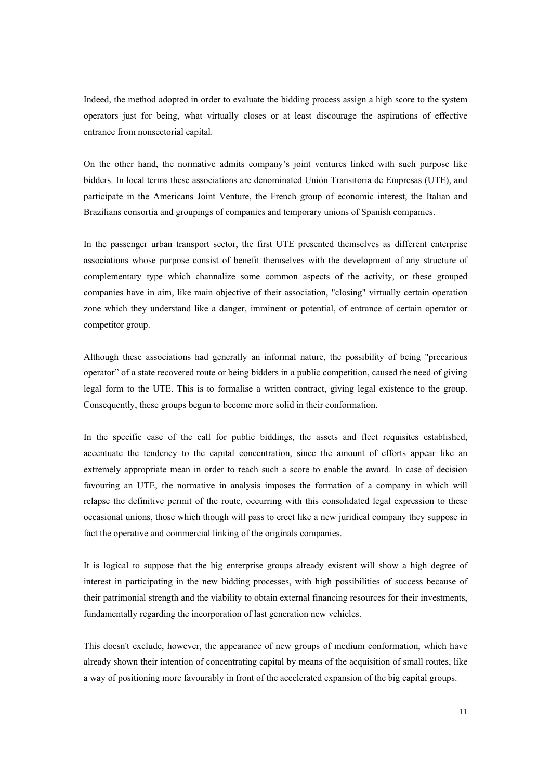Indeed, the method adopted in order to evaluate the bidding process assign a high score to the system operators just for being, what virtually closes or at least discourage the aspirations of effective entrance from nonsectorial capital.

On the other hand, the normative admits company's joint ventures linked with such purpose like bidders. In local terms these associations are denominated Unión Transitoria de Empresas (UTE), and participate in the Americans Joint Venture, the French group of economic interest, the Italian and Brazilians consortia and groupings of companies and temporary unions of Spanish companies.

In the passenger urban transport sector, the first UTE presented themselves as different enterprise associations whose purpose consist of benefit themselves with the development of any structure of complementary type which channalize some common aspects of the activity, or these grouped companies have in aim, like main objective of their association, "closing" virtually certain operation zone which they understand like a danger, imminent or potential, of entrance of certain operator or competitor group.

Although these associations had generally an informal nature, the possibility of being "precarious operator"of a state recovered route or being bidders in a public competition, caused the need of giving legal form to the UTE. This is to formalise a written contract, giving legal existence to the group. Consequently, these groups begun to become more solid in their conformation.

In the specific case of the call for public biddings, the assets and fleet requisites established, accentuate the tendency to the capital concentration, since the amount of efforts appear like an extremely appropriate mean in order to reach such a score to enable the award. In case of decision favouring an UTE, the normative in analysis imposes the formation of a company in which will relapse the definitive permit of the route, occurring with this consolidated legal expression to these occasional unions, those which though will pass to erect like a new juridical company they suppose in fact the operative and commercial linking of the originals companies.

It is logical to suppose that the big enterprise groups already existent will show a high degree of interest in participating in the new bidding processes, with high possibilities of success because of their patrimonial strength and the viability to obtain external financing resources for their investments, fundamentally regarding the incorporation of last generation new vehicles.

This doesn't exclude, however, the appearance of new groups of medium conformation, which have already shown their intention of concentrating capital by means of the acquisition of small routes, like a way of positioning more favourably in front of the accelerated expansion of the big capital groups.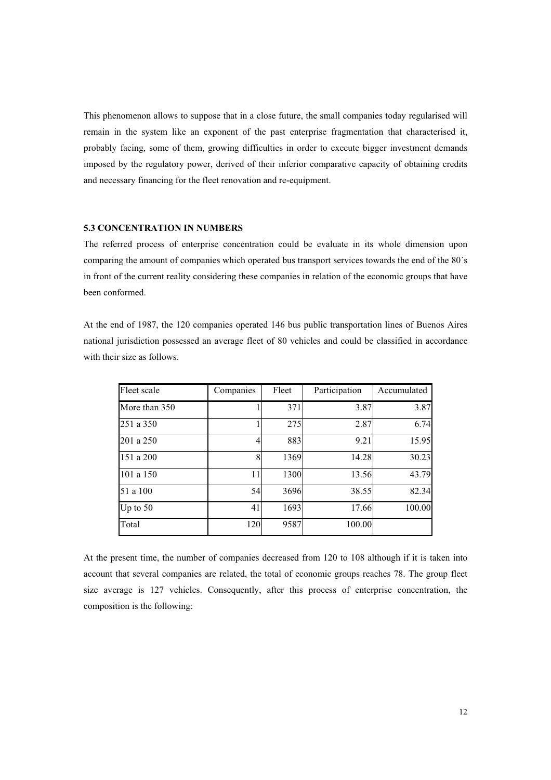This phenomenon allows to suppose that in a close future, the small companies today regularised will remain in the system like an exponent of the past enterprise fragmentation that characterised it, probably facing, some of them, growing difficulties in order to execute bigger investment demands imposed by the regulatory power, derived of their inferior comparative capacity of obtaining credits and necessary financing for the fleet renovation and re-equipment.

#### 5.3 CONCENTRATION IN NUMBERS

The referred process of enterprise concentration could be evaluate in its whole dimension upon comparing the amount of companies which operated bus transport services towards the end of the 80´s in front of the current reality considering these companies in relation of the economic groups that have been conformed.

At the end of 1987, the 120 companies operated 146 bus public transportation lines of Buenos Aires national jurisdiction possessed an average fleet of 80 vehicles and could be classified in accordance with their size as follows.

| Fleet scale   | Companies | Fleet | Participation | Accumulated |
|---------------|-----------|-------|---------------|-------------|
| More than 350 |           | 371   | 3.87          | 3.87        |
| 251 a 350     |           | 275   | 2.87          | 6.74        |
| 201 a 250     |           | 883   | 9.21          | 15.95       |
| 151 a 200     | 8         | 1369  | 14.28         | 30.23       |
| 101 a 150     | 11        | 1300  | 13.56         | 43.79       |
| 51 a 100      | 54        | 3696  | 38.55         | 82.34       |
| Up to $50$    | 41        | 1693  | 17.66         | 100.00      |
| Total         | 120       | 9587  | 100.00        |             |

At the present time, the number of companies decreased from 120 to 108 although if it is taken into account that several companies are related, the total of economic groups reaches 78. The group fleet size average is 127 vehicles. Consequently, after this process of enterprise concentration, the composition is the following: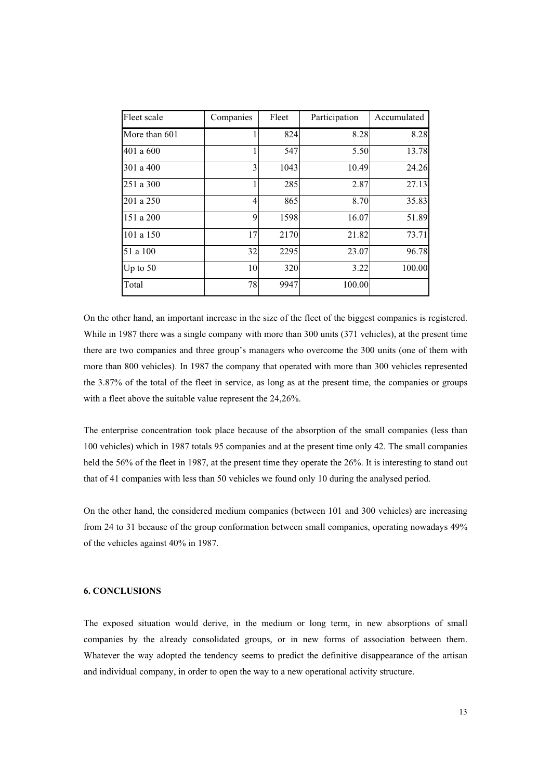| Fleet scale   | Companies      | Fleet | Participation | Accumulated |
|---------------|----------------|-------|---------------|-------------|
| More than 601 | 1              | 824   | 8.28          | 8.28        |
| 401 a 600     |                | 547   | 5.50          | 13.78       |
| 301 a 400     | 3              | 1043  | 10.49         | 24.26       |
| 251 a 300     | 1              | 285   | 2.87          | 27.13       |
| 201 a 250     | $\overline{4}$ | 865   | 8.70          | 35.83       |
| 151 a 200     | 9              | 1598  | 16.07         | 51.89       |
| 101 a 150     | 17             | 2170  | 21.82         | 73.71       |
| 51 a 100      | 32             | 2295  | 23.07         | 96.78       |
| Up to $50$    | 10             | 320   | 3.22          | 100.00      |
| Total         | 78             | 9947  | 100.00        |             |

On the other hand, an important increase in the size of the fleet of the biggest companies is registered. While in 1987 there was a single company with more than 300 units (371 vehicles), at the present time there are two companies and three group's managers who overcome the 300 units (one of them with more than 800 vehicles). In 1987 the company that operated with more than 300 vehicles represented the 3.87% of the total of the fleet in service, as long as at the present time, the companies or groups with a fleet above the suitable value represent the 24,26%.

The enterprise concentration took place because of the absorption of the small companies (less than 100 vehicles) which in 1987 totals 95 companies and at the present time only 42. The small companies held the 56% of the fleet in 1987, at the present time they operate the 26%. It is interesting to stand out that of 41 companies with less than 50 vehicles we found only 10 during the analysed period.

On the other hand, the considered medium companies (between 101 and 300 vehicles) are increasing from 24 to 31 because of the group conformation between small companies, operating nowadays 49% of the vehicles against 40% in 1987.

### 6. CONCLUSIONS

The exposed situation would derive, in the medium or long term, in new absorptions of small companies by the already consolidated groups, or in new forms of association between them. Whatever the way adopted the tendency seems to predict the definitive disappearance of the artisan and individual company, in order to open the way to a new operational activity structure.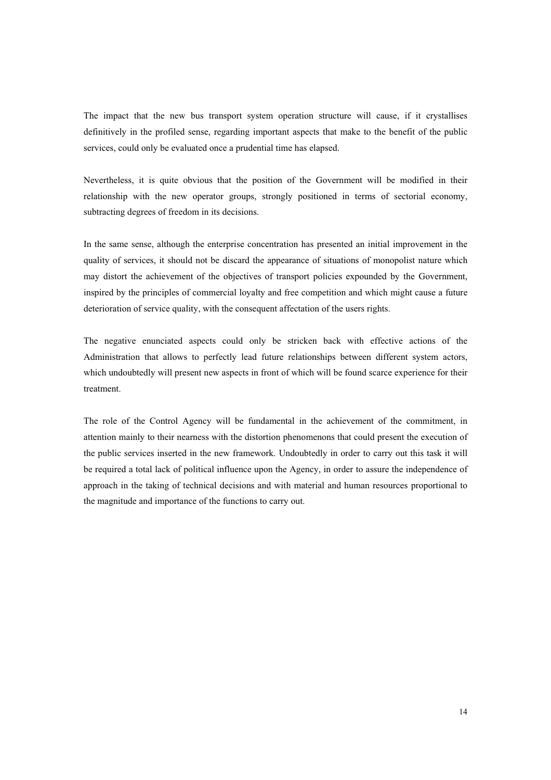The impact that the new bus transport system operation structure will cause, if it crystallises definitively in the profiled sense, regarding important aspects that make to the benefit of the public services, could only be evaluated once a prudential time has elapsed.

Nevertheless, it is quite obvious that the position of the Government will be modified in their relationship with the new operator groups, strongly positioned in terms of sectorial economy, subtracting degrees of freedom in its decisions.

In the same sense, although the enterprise concentration has presented an initial improvement in the quality of services, it should not be discard the appearance of situations of monopolist nature which may distort the achievement of the objectives of transport policies expounded by the Government, inspired by the principles of commercial loyalty and free competition and which might cause a future deterioration of service quality, with the consequent affectation of the users rights.

The negative enunciated aspects could only be stricken back with effective actions of the Administration that allows to perfectly lead future relationships between different system actors, which undoubtedly will present new aspects in front of which will be found scarce experience for their treatment.

The role of the Control Agency will be fundamental in the achievement of the commitment, in attention mainly to their nearness with the distortion phenomenons that could present the execution of the public services inserted in the new framework. Undoubtedly in order to carry out this task it will be required a total lack of political influence upon the Agency, in order to assure the independence of approach in the taking of technical decisions and with material and human resources proportional to the magnitude and importance of the functions to carry out.